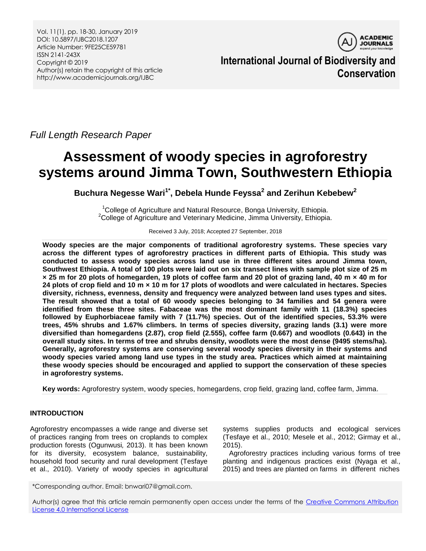Vol. 11(1), pp. 18-30, January 2019 DOI: 10.5897/IJBC2018.1207 Article Number: 9FE25CE59781 ISSN 2141-243X Copyright © 2019 Author(s) retain the copyright of this article http://www.academicjournals.org/IJBC



**International Journal of Biodiversity and Conservation**

*Full Length Research Paper*

# **Assessment of woody species in agroforestry systems around Jimma Town, Southwestern Ethiopia**

**Buchura Negesse Wari1\* , Debela Hunde Feyssa<sup>2</sup> and Zerihun Kebebew<sup>2</sup>**

<sup>1</sup>College of Agriculture and Natural Resource, Bonga University, Ethiopia. <sup>2</sup>College of Agriculture and Veterinary Medicine, Jimma University, Ethiopia.

Received 3 July, 2018; Accepted 27 September, 2018

**Woody species are the major components of traditional agroforestry systems. These species vary across the different types of agroforestry practices in different parts of Ethiopia. This study was conducted to assess woody species across land use in three different sites around Jimma town, Southwest Ethiopia. A total of 100 plots were laid out on six transect lines with sample plot size of 25 m × 25 m for 20 plots of homegarden, 19 plots of coffee farm and 20 plot of grazing land, 40 m × 40 m for 24 plots of crop field and 10 m × 10 m for 17 plots of woodlots and were calculated in hectares. Species diversity, richness, evenness, density and frequency were analyzed between land uses types and sites. The result showed that a total of 60 woody species belonging to 34 families and 54 genera were identified from these three sites. Fabaceae was the most dominant family with 11 (18.3%) species followed by Euphorbiaceae family with 7 (11.7%) species. Out of the identified species, 53.3% were trees, 45% shrubs and 1.67% climbers. In terms of species diversity, grazing lands (3.1) were more diversified than homegardens (2.87), crop field (2.555), coffee farm (0.667) and woodlots (0.643) in the overall study sites. In terms of tree and shrubs density, woodlots were the most dense (9495 stems/ha). Generally, agroforestry systems are conserving several woody species diversity in their systems and woody species varied among land use types in the study area. Practices which aimed at maintaining these woody species should be encouraged and applied to support the conservation of these species in agroforestry systems.**

**Key words:** Agroforestry system, woody species, homegardens, crop field, grazing land, coffee farm, Jimma.

# **INTRODUCTION**

Agroforestry encompasses a wide range and diverse set of practices ranging from trees on croplands to complex production forests (Ogunwusi*,* 2013). It has been known for its diversity, ecosystem balance, sustainability, household food security and rural development (Tesfaye et al., 2010). Variety of woody species in agricultural systems supplies products and ecological services (Tesfaye et al., 2010; Mesele et al., 2012; Girmay et al., 2015).

Agroforestry practices including various forms of tree planting and indigenous practices exist (Nyaga et al*.,* 2015) and trees are planted on farms in different niches

\*Corresponding author. Email: bnwari07@gmail.com.

Author(s) agree that this article remain permanently open access under the terms of the [Creative Commons Attribution](http://creativecommons.org/licenses/by/4.0/deed.en_US)  [License 4.0 International License](http://creativecommons.org/licenses/by/4.0/deed.en_US)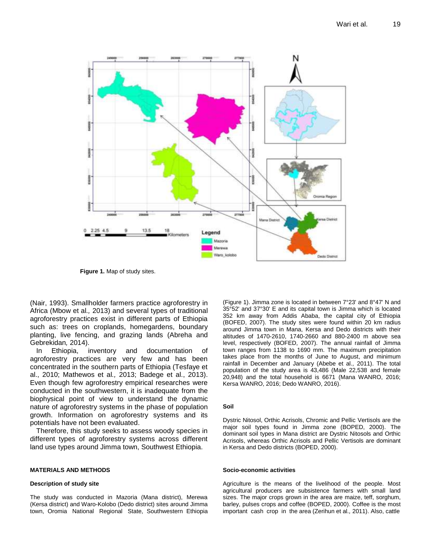

**Figure 1.** Map of study sites.

(Nair, 1993). Smallholder farmers practice agroforestry in Africa (Mbow et al*.,* 2013) and several types of traditional agroforestry practices exist in different parts of Ethiopia such as: trees on croplands, homegardens, boundary planting, live fencing, and grazing lands (Abreha and Gebrekidan*,* 2014).

In Ethiopia, inventory and documentation of agroforestry practices are very few and has been concentrated in the southern parts of Ethiopia (Tesfaye et al., 2010; Mathewos et al*.,* 2013; Badege et al., 2013). Even though few agroforestry empirical researches were conducted in the southwestern, it is inadequate from the biophysical point of view to understand the dynamic nature of agroforestry systems in the phase of population growth. Information on agroforestry systems and its potentials have not been evaluated.

Therefore, this study seeks to assess woody species in different types of agroforestry systems across different land use types around Jimma town, Southwest Ethiopia.

## **MATERIALS AND METHODS**

## **Description of study site**

The study was conducted in Mazoria (Mana district), Merewa (Kersa district) and Waro-Kolobo (Dedo district) sites around Jimma town, Oromia National Regional State, Southwestern Ethiopia (Figure 1). Jimma zone is located in between 7°23' and 8°47' N and 35°52' and 37°30' E and its capital town is Jimma which is located 352 km away from Addis Ababa, the capital city of Ethiopia (BOFED, 2007). The study sites were found within 20 km radius around Jimma town in Mana, Kersa and Dedo districts with their altitudes of 1470-2610, 1740-2660 and 880-2400 m above sea level, respectively (BOFED, 2007). The annual rainfall of Jimma town ranges from 1138 to 1690 mm. The maximum precipitation takes place from the months of June to August, and minimum rainfall in December and January (Abebe et al*.,* 2011). The total population of the study area is 43,486 (Male 22,538 and female 20,948) and the total household is 6671 (Mana WANRO, 2016; Kersa WANRO, 2016; Dedo WANRO, 2016).

## **Soil**

Dystric Nitosol, Orthic Acrisols, Chromic and Pellic Vertisols are the major soil types found in Jimma zone (BOPED, 2000). The dominant soil types in Mana district are Dystric Nitosols and Orthic Acrisols, whereas Orthic Acrisols and Pellic Vertisols are dominant in Kersa and Dedo districts (BOPED, 2000).

## **Socio-economic activities**

Agriculture is the means of the livelihood of the people. Most agricultural producers are subsistence farmers with small land sizes. The major crops grown in the area are maize, teff, sorghum, barley, pulses crops and coffee (BOPED, 2000). Coffee is the most important cash crop in the area (Zerihun et al*.,* 2011). Also, cattle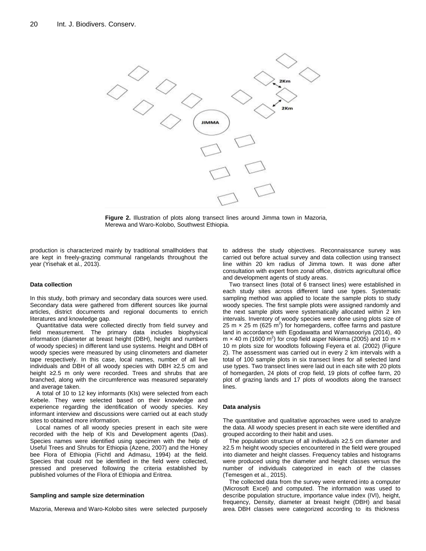

**Figure 2.** Illustration of plots along transect lines around Jimma town in Mazoria, Merewa and Waro-Kolobo, Southwest Ethiopia.

production is characterized mainly by traditional smallholders that are kept in freely-grazing communal rangelands throughout the year (Yisehak et al*.,* 2013).

#### **Data collection**

In this study, both primary and secondary data sources were used. Secondary data were gathered from different sources like journal articles, district documents and regional documents to enrich literatures and knowledge gap.

Quantitative data were collected directly from field survey and field measurement. The primary data includes biophysical information (diameter at breast height (DBH), height and numbers of woody species) in different land use systems*.* Height and DBH of woody species were measured by using clinometers and diameter tape respectively. In this case, local names, number of all live individuals and DBH of all woody species with DBH ≥2.5 cm and height ≥2.5 m only were recorded. Trees and shrubs that are branched, along with the circumference was measured separately and average taken.

A total of 10 to 12 key informants (KIs) were selected from each Kebele. They were selected based on their knowledge and experience regarding the identification of woody species. Key informant interview and discussions were carried out at each study sites to obtained more information.

Local names of all woody species present in each site were recorded with the help of KIs and Development agents (Das). Species names were identified using specimen with the help of Useful Trees and Shrubs for Ethiopia (Azene, 2007) and the Honey bee Flora of Ethiopia (Fichtl and Admasu, 1994) at the field. Species that could not be identified in the field were collected, pressed and preserved following the criteria established by published volumes of the Flora of Ethiopia and Eritrea.

#### **Sampling and sample size determination**

Mazoria, Merewa and Waro-Kolobo sites were selected purposely

to address the study objectives. Reconnaissance survey was carried out before actual survey and data collection using transect line within 20 km radius of Jimma town. It was done after consultation with expert from zonal office, districts agricultural office and development agents of study areas.

Two transect lines (total of 6 transect lines) were established in each study sites across different land use types. Systematic sampling method was applied to locate the sample plots to study woody species. The first sample plots were assigned randomly and the next sample plots were systematically allocated within 2 km intervals. Inventory of woody species were done using plots size of 25 m  $\times$  25 m (625 m<sup>2</sup>) for homegardens, coffee farms and pasture land in accordance with Egodawatta and Warnasooriya (2014), 40 m  $\times$  40 m (1600 m<sup>2</sup>) for crop field asper Nikiema (2005) and 10 m  $\times$ 10 m plots size for woodlots following Feyera et al. (2002) (Figure 2). The assessment was carried out in every 2 km intervals with a total of 100 sample plots in six transect lines for all selected land use types. Two transect lines were laid out in each site with 20 plots of homegarden, 24 plots of crop field, 19 plots of coffee farm, 20 plot of grazing lands and 17 plots of woodlots along the transect lines.

#### **Data analysis**

The quantitative and qualitative approaches were used to analyze the data. All woody species present in each site were identified and grouped according to their habit and uses.

The population structure of all individuals ≥2.5 cm diameter and ≥2.5 m height woody species encountered in the field were grouped into diameter and height classes. Frequency tables and histograms were produced using the diameter and height classes versus the number of individuals categorized in each of the classes (Temesgen et al*.*, 2015).

The collected data from the survey were entered into a computer (Microsoft Excel) and computed. The information was used to describe population structure, importance value index (IVI), height, frequency, Density, diameter at breast height (DBH) and basal area. DBH classes were categorized according to its thickness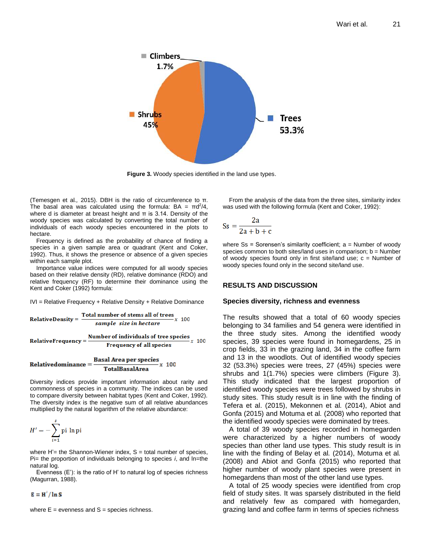

**Figure 3.** Woody species identified in the land use types.

(Temesgen et al*.,* 2015). DBH is the ratio of circumference to π. The basal area was calculated using the formula:  $BA = \pi d^2/4$ , where d is diameter at breast height and  $\pi$  is 3.14. Density of the woody species was calculated by converting the total number of individuals of each woody species encountered in the plots to hectare.

Frequency is defined as the probability of chance of finding a species in a given sample area or quadrant (Kent and Coker, 1992). Thus, it shows the presence or absence of a given species within each sample plot.

Importance value indices were computed for all woody species based on their relative density (RD), relative dominance (RDO) and relative frequency (RF) to determine their dominance using the Kent and Coker (1992) formula:

IVI = Relative Frequency + Relative Density + Relative Dominance

**RelativeDensity** = 
$$
\frac{\text{Total number of stems all of trees}}{\text{sample size in hectare}} x 100
$$

**RelativeFrequency** = 
$$
\frac{\text{Number of individuals of tree species}}{\text{Frequency of all species}} x
$$
 100

$$
Relative dominance = \frac{Basal Area per species}{TotalBasalArea} x 100
$$

Diversity indices provide important information about rarity and commonness of species in a community. The indices can be used to compare diversity between habitat types (Kent and Coker, 1992). The diversity index is the negative sum of all relative abundances multiplied by the natural logarithm of the relative abundance:

$$
H' = -\sum_{i=1}^{s} \text{pi} \ln \text{pi}
$$

where  $H'$  = the Shannon-Wiener index,  $S$  = total number of species, Pi= the proportion of individuals belonging to species *i*, and ln=the natural log.

Evenness (E'): is the ratio of H' to natural log of species richness (Magurran, 1988).

$$
E = H'/\ln S
$$

where  $E =$  evenness and  $S =$  species richness.

From the analysis of the data from the three sites, similarity index was used with the following formula (Kent and Coker, 1992):

$$
Ss = \frac{2a}{2a + b + c}
$$

where  $Ss$  = Sorensen's similarity coefficient;  $a$  = Number of woody species common to both sites/land uses in comparison;  $b =$  Number of woody species found only in first site/land use;  $c =$  Number of woody species found only in the second site/land use.

## **RESULTS AND DISCUSSION**

## **Species diversity, richness and evenness**

The results showed that a total of 60 woody species belonging to 34 families and 54 genera were identified in the three study sites. Among the identified woody species, 39 species were found in homegardens, 25 in crop fields, 33 in the grazing land, 34 in the coffee farm and 13 in the woodlots. Out of identified woody species 32 (53.3%) species were trees, 27 (45%) species were shrubs and 1(1.7%) species were climbers (Figure 3). This study indicated that the largest proportion of identified woody species were trees followed by shrubs in study sites. This study result is in line with the finding of Tefera et al. (2015), Mekonnen et al*.* (2014), Abiot and Gonfa (2015) and Motuma et al*.* (2008) who reported that the identified woody species were dominated by trees.

A total of 39 woody species recorded in homegarden were characterized by a higher numbers of woody species than other land use types. This study result is in line with the finding of Belay et al*.* (2014), Motuma et al*.* (2008) and Abiot and Gonfa (2015) who reported that higher number of woody plant species were present in homegardens than most of the other land use types.

A total of 25 woody species were identified from crop field of study sites. It was sparsely distributed in the field and relatively few as compared with homegarden, grazing land and coffee farm in terms of species richness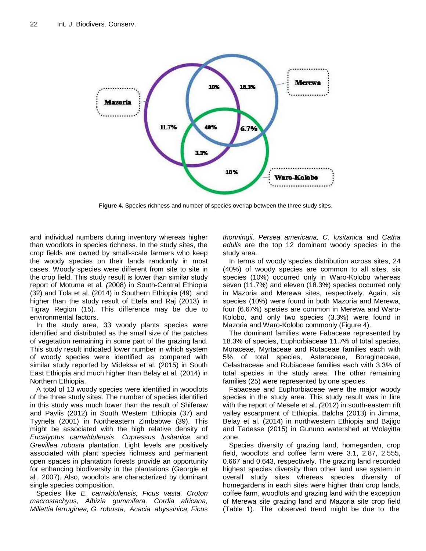

**Figure 4.** Species richness and number of species overlap between the three study sites.

and individual numbers during inventory whereas higher than woodlots in species richness. In the study sites, the crop fields are owned by small-scale farmers who keep the woody species on their lands randomly in most cases. Woody species were different from site to site in the crop field. This study result is lower than similar study report of Motuma et al*. (*2008) in South-Central Ethiopia (32) and Tola et al*.* (2014) in Southern Ethiopia (49), and higher than the study result of Etefa and Raj (2013) in Tigray Region (15). This difference may be due to environmental factors.

In the study area, 33 woody plants species were identified and distributed as the small size of the patches of vegetation remaining in some part of the grazing land. This study result indicated lower number in which system of woody species were identified as compared with similar study reported by Mideksa et al*.* (2015) in South East Ethiopia and much higher than Belay et al*.* (2014) in Northern Ethiopia.

A total of 13 woody species were identified in woodlots of the three study sites. The number of species identified in this study was much lower than the result of Shiferaw and Pavlis (2012) in South Western Ethiopia (37) and Tyynelä (2001) in Northeastern Zimbabwe (39). This might be associated with the high relative density of *Eucalyptus camaldulensis*, *Cupressus lusitanica* and *Grevillea robusta* plantation*.* Light levels are positively associated with plant species richness and permanent open spaces in plantation forests provide an opportunity for enhancing biodiversity in the plantations (Georgie et al*.,* 2007). Also, woodlots are characterized by dominant single species composition.

Species like *E. camaldulensis, Ficus vasta, Croton macrostachyus, Albizia gummifera, Cordia africana, Millettia ferruginea, G. robusta, Acacia abyssinica, Ficus*  *thonningii, Persea americana, C. lusitanica* and *Catha edulis* are the top 12 dominant woody species in the study area.

In terms of woody species distribution across sites, 24 (40%) of woody species are common to all sites, six species (10%) occurred only in Waro-Kolobo whereas seven (11.7%) and eleven (18.3%) species occurred only in Mazoria and Merewa sites, respectively. Again, six species (10%) were found in both Mazoria and Merewa, four (6.67%) species are common in Merewa and Waro-Kolobo, and only two species (3.3%) were found in Mazoria and Waro-Kolobo commonly (Figure 4).

The dominant families were Fabaceae represented by 18.3% of species, Euphorbiaceae 11.7% of total species, Moraceae, Myrtaceae and Rutaceae families each with 5% of total species, Asteraceae, Boraginaceae, Celastraceae and Rubiaceae families each with 3.3% of total species in the study area. The other remaining families (25) were represented by one species.

Fabaceae and Euphorbiaceae were the major woody species in the study area. This study result was in line with the report of Mesele et al*. (*2012) in south-eastern rift valley escarpment of Ethiopia, Balcha (2013) in Jimma, Belay et al. (2014) in northwestern Ethiopia and Bajigo and Tadesse (2015) in Gununo watershed at Wolayitta zone.

Species diversity of grazing land, homegarden, crop field, woodlots and coffee farm were 3.1, 2.87, 2.555, 0.667 and 0.643, respectively. The grazing land recorded highest species diversity than other land use system in overall study sites whereas species diversity of homegardens in each sites were higher than crop lands, coffee farm, woodlots and grazing land with the exception of Merewa site grazing land and Mazoria site crop field (Table 1). The observed trend might be due to the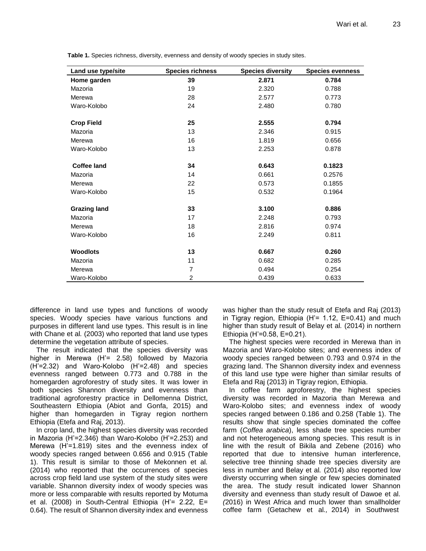| Land use type/site  | <b>Species richness</b> | <b>Species diversity</b> | <b>Species evenness</b> |
|---------------------|-------------------------|--------------------------|-------------------------|
| Home garden         | 39                      | 2.871                    | 0.784                   |
| Mazoria             | 19                      | 2.320                    | 0.788                   |
| Merewa              | 28                      | 2.577                    | 0.773                   |
| Waro-Kolobo         | 24                      | 2.480                    | 0.780                   |
| <b>Crop Field</b>   | 25                      | 2.555                    | 0.794                   |
| Mazoria             | 13                      | 2.346                    | 0.915                   |
| Merewa              | 16                      | 1.819                    | 0.656                   |
| Waro-Kolobo         | 13                      | 2.253                    | 0.878                   |
| <b>Coffee land</b>  | 34                      | 0.643                    | 0.1823                  |
| Mazoria             | 14                      | 0.661                    | 0.2576                  |
| Merewa              | 22                      | 0.573                    | 0.1855                  |
| Waro-Kolobo         | 15                      | 0.532                    | 0.1964                  |
| <b>Grazing land</b> | 33                      | 3.100                    | 0.886                   |
| Mazoria             | 17                      | 2.248                    | 0.793                   |
| Merewa              | 18                      | 2.816                    | 0.974                   |
| Waro-Kolobo         | 16                      | 2.249                    | 0.811                   |
| <b>Woodlots</b>     | 13                      | 0.667                    | 0.260                   |
| Mazoria             | 11                      | 0.682                    | 0.285                   |
| Merewa              | 7                       | 0.494                    | 0.254                   |
| Waro-Kolobo         | 2                       | 0.439                    | 0.633                   |

**Table 1.** Species richness, diversity, evenness and density of woody species in study sites.

difference in land use types and functions of woody species. Woody species have various functions and purposes in different land use types. This result is in line with Chane et al*.* (2003) who reported that land use types determine the vegetation attribute of species.

The result indicated that the species diversity was higher in Merewa (H'= 2.58) followed by Mazoria (H'=2.32) and Waro-Kolobo (H'=2.48) and species evenness ranged between 0.773 and 0.788 in the homegarden agroforestry of study sites. It was lower in both species Shannon diversity and evenness than traditional agroforestry practice in Dellomenna District, Southeastern Ethiopia (Abiot and Gonfa, 2015) and higher than homegarden in Tigray region northern Ethiopia (Etefa and Raj, 2013).

In crop land, the highest species diversity was recorded in Mazoria (H'=2.346) than Waro-Kolobo (H'=2.253) and Merewa (H'=1.819) sites and the evenness index of woody species ranged between 0.656 and 0.915 (Table 1). This result is similar to those of Mekonnen et al*.* (2014) who reported that the occurrences of species across crop field land use system of the study sites were variable. Shannon diversity index of woody species was more or less comparable with results reported by Motuma et al. (2008) in South-Central Ethiopia (H'= 2.22, E= 0.64). The result of Shannon diversity index and evenness

was higher than the study result of Etefa and Raj (2013) in Tigray region, Ethiopia  $(H'= 1.12, E=0.41)$  and much higher than study result of Belay et al*.* (2014) in northern Ethiopia (H'=0.58, E=0.21).

The highest species were recorded in Merewa than in Mazoria and Waro-Kolobo sites; and evenness index of woody species ranged between 0.793 and 0.974 in the grazing land. The Shannon diversity index and evenness of this land use type were higher than similar results of Etefa and Raj (2013) in Tigray region, Ethiopia.

In coffee farm agroforestry, the highest species diversity was recorded in Mazoria than Merewa and Waro-Kolobo sites; and evenness index of woody species ranged between 0.186 and 0.258 (Table 1). The results show that single species dominated the coffee farm (*Coffea arabica*), less shade tree species number and not heterogeneous among species. This result is in line with the result of Bikila and Zebene (2016) who reported that due to intensive human interference, selective tree thinning shade tree species diversity are less in number and Belay et al*.* (2014) also reported low diversty occurring when single or few species dominated the area. The study result indicated lower Shannon diversity and evenness than study result of Dawoe et al*. (*2016) in West Africa and much lower than smallholder coffee farm (Getachew et al*.,* 2014) in Southwest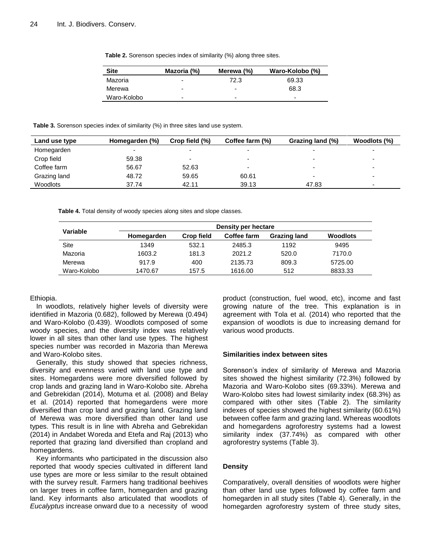| Table 2. Sorenson species index of similarity (%) along three sites. |  |  |  |  |  |  |
|----------------------------------------------------------------------|--|--|--|--|--|--|
|----------------------------------------------------------------------|--|--|--|--|--|--|

| <b>Site</b> | Mazoria (%)              | Merewa (%)               | Waro-Kolobo (%) |
|-------------|--------------------------|--------------------------|-----------------|
| Mazoria     | $\overline{\phantom{0}}$ | 72.3                     | 69.33           |
| Merewa      | $\overline{\phantom{0}}$ | $\overline{\phantom{0}}$ | 68.3            |
| Waro-Kolobo | -                        | ۰                        | ۰               |

**Table 3.** Sorenson species index of similarity (%) in three sites land use system.

| Land use type | Homegarden (%) | Crop field (%) | Coffee farm (%) | Grazing land (%)         | Woodlots (%)             |
|---------------|----------------|----------------|-----------------|--------------------------|--------------------------|
| Homegarden    |                |                |                 | -                        | $\overline{\phantom{a}}$ |
| Crop field    | 59.38          | -              |                 | $\overline{\phantom{0}}$ | $\overline{\phantom{a}}$ |
| Coffee farm   | 56.67          | 52.63          | ۰               | $\overline{\phantom{0}}$ | $\overline{\phantom{0}}$ |
| Grazing land  | 48.72          | 59.65          | 60.61           | $\overline{\phantom{0}}$ | $\overline{\phantom{0}}$ |
| Woodlots      | 37.74          | 42.11          | 39.13           | 47.83                    | $\overline{\phantom{a}}$ |

**Table 4.** Total density of woody species along sites and slope classes.

| Variable    | Density per hectare |                   |             |                     |                 |  |  |
|-------------|---------------------|-------------------|-------------|---------------------|-----------------|--|--|
|             | Homegarden          | <b>Crop field</b> | Coffee farm | <b>Grazing land</b> | <b>Woodlots</b> |  |  |
| Site        | 1349                | 532.1             | 2485.3      | 1192                | 9495            |  |  |
| Mazoria     | 1603.2              | 181.3             | 2021.2      | 520.0               | 7170.0          |  |  |
| Merewa      | 917.9               | 400               | 2135.73     | 809.3               | 5725.00         |  |  |
| Waro-Kolobo | 1470.67             | 157.5             | 1616.00     | 512                 | 8833.33         |  |  |

## Ethiopia.

In woodlots, relatively higher levels of diversity were identified in Mazoria (0.682), followed by Merewa (0.494) and Waro-Kolobo (0.439). Woodlots composed of some woody species, and the diversity index was relatively lower in all sites than other land use types. The highest species number was recorded in Mazoria than Merewa and Waro-Kolobo sites.

Generally, this study showed that species richness, diversity and evenness varied with land use type and sites. Homegardens were more diversified followed by crop lands and grazing land in Waro-Kolobo site. Abreha and Gebrekidan (2014), Motuma et al*.* (2008) and Belay et al. (2014) reported that homegardens were more diversified than crop land and grazing land. Grazing land of Merewa was more diversified than other land use types. This result is in line with Abreha and Gebrekidan (2014) in Andabet Woreda and Etefa and Raj (2013) who reported that grazing land diversified than cropland and homegardens.

Key informants who participated in the discussion also reported that woody species cultivated in different land use types are more or less similar to the result obtained with the survey result. Farmers hang traditional beehives on larger trees in coffee farm, homegarden and grazing land. Key informants also articulated that woodlots of *Eucalyptus* increase onward due to a necessity of wood product (construction, fuel wood, etc), income and fast growing nature of the tree. This explanation is in agreement with Tola et al. (2014) who reported that the expansion of woodlots is due to increasing demand for various wood products.

## **Similarities index between sites**

Sorenson's index of similarity of Merewa and Mazoria sites showed the highest similarity (72.3%) followed by Mazoria and Waro-Kolobo sites (69.33%). Merewa and Waro-Kolobo sites had lowest similarity index (68.3%) as compared with other sites (Table 2). The similarity indexes of species showed the highest similarity (60.61%) between coffee farm and grazing land. Whereas woodlots and homegardens agroforestry systems had a lowest similarity index (37.74%) as compared with other agroforestry systems (Table 3).

## **Density**

Comparatively, overall densities of woodlots were higher than other land use types followed by coffee farm and homegarden in all study sites (Table 4). Generally, in the homegarden agroforestry system of three study sites,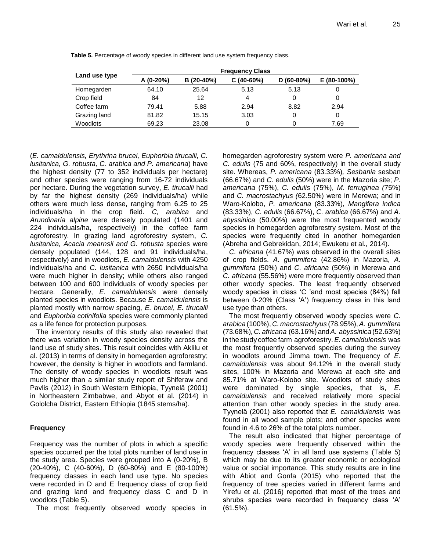|               | <b>Frequency Class</b> |            |             |             |             |  |  |  |
|---------------|------------------------|------------|-------------|-------------|-------------|--|--|--|
| Land use type | $A(0-20%)$             | B (20-40%) | $C(40-60%)$ | $D(60-80%)$ | E (80-100%) |  |  |  |
| Homegarden    | 64.10                  | 25.64      | 5.13        | 5.13        | O           |  |  |  |
| Crop field    | 84                     | 12         | 4           | 0           | 0           |  |  |  |
| Coffee farm   | 79.41                  | 5.88       | 2.94        | 8.82        | 2.94        |  |  |  |
| Grazing land  | 81.82                  | 15.15      | 3.03        | 0           | 0           |  |  |  |
| Woodlots      | 69.23                  | 23.08      | Ω           |             | 7.69        |  |  |  |

**Table 5.** Percentage of woody species in different land use system frequency class.

(*E. camaldulensis, Erythrina brucei, Euphorbia tirucalli, C. lusitanica, G. robusta, C. arabica and P. americana*) have the highest density (77 to 352 individuals per hectare) and other species were ranging from 16-72 individuals per hectare. During the vegetation survey, *E. tirucalli* had by far the highest density (269 individuals/ha) while others were much less dense, ranging from 6.25 to 25 individuals/ha in the crop field. *C, arabica* and *Arundinaria alpine* were densely populated (1401 and 224 individuals/ha, respectively) in the coffee farm agroforestry. In grazing land agroforestry system, *C. lusitanica, Acacia mearnsii and G. robusta* species were densely populated (144, 128 and 91 individuals/ha, respectively) and in woodlots, *E. camaldulensis* with 4250 individuals/ha and *C. lusitanica* with 2650 individuals/ha were much higher in density; while others also ranged between 100 and 600 individuals of woody species per hectare. Generally, *E. camaldulensis* were densely planted species in woodlots. Because *E. camaldulensis* is planted mostly with narrow spacing, *E. brucei*, *E. tirucalli* and *Euphorbia cotinifolia* species were commonly planted as a life fence for protection purposes.

The inventory results of this study also revealed that there was variation in woody species density across the land use of study sites. This result coincides with Aklilu et al. (2013) in terms of density in homegarden agroforestry; however, the density is higher in woodlots and farmland. The density of woody species in woodlots result was much higher than a similar study report of Shiferaw and Pavlis (2012) in South Western Ethiopia, Tyynelä (2001) in Northeastern Zimbabwe, and Abyot et al*.* (2014) in Gololcha District, Eastern Ethiopia (1845 stems/ha).

# **Frequency**

Frequency was the number of plots in which a specific species occurred per the total plots number of land use in the study area. Species were grouped into A (0-20%), B (20-40%), C (40-60%), D (60-80%) and E (80-100%) frequency classes in each land use type. No species were recorded in D and E frequency class of crop field and grazing land and frequency class C and D in woodlots (Table 5).

The most frequently observed woody species in

homegarden agroforestry system were *P. americana and C. edulis* (75 and 60%, respectively) in the overall study site. Whereas, *P. americana* (83.33%)*, Sesbania* sesban (66.67%) and *C. edulis* (50%) were in the Mazoria site; *P. americana* (75%), *C. edulis* (75%), *M. ferruginea (*75%) and *C. macrostachyus (*62.50%) were in Merewa; and in Waro-Kolobo, *P. americana* (83.33%)*, Mangifera indica*  (83.33%), *C. edulis* (66.67%), *C. arabica* (66.67%) and *A. abyssinica* (50.00%) were the most frequented woody species in homegarden agroforestry system. Most of the species were frequently cited in another homegarden (Abreha and Gebrekidan, 2014; Ewuketu et al*.,* 2014).

*C. africana* (41.67%) was observed in the overall sites of crop fields. *A. gummifera* (42.86%) in Mazoria, *A. gummifera* (50%) and *C. africana* (50%) in Merewa and *C. africana* (55.56%) were more frequently observed than other woody species. The least frequently observed woody species in class 'C 'and most species (84%) fall between 0-20% (Class 'A') frequency class in this land use type than others.

The most frequently observed woody species were *C. arabica* (100%), *C. macrostachyus* (78.95%),*A. gummifera* (73.68%)*,C. africana* (63.16%) and*A. abyssinica* (52.63%) in the study coffee farm agroforestry. *E. camaldulensis* was the most frequently observed species during the survey in woodlots around Jimma town. The frequency of *E. camaldulensis* was about 94.12% in the overall study sites, 100% in Mazoria and Merewa at each site and 85.71% at Waro-Kolobo site. Woodlots of study sites were dominated by single species, that is, *E. camaldulensis* and received relatively more special attention than other woody species in the study area. Tyynelä (2001) also reported that *E. camaldulensis* was found in all wood sample plots; and other species were found in 4.6 to 26% of the total plots number.

The result also indicated that higher percentage of woody species were frequently observed within the frequency classes 'A' in all land use systems (Table 5) which may be due to its greater economic or ecological value or social importance. This study results are in line with Abiot and Gonfa (2015) who reported that the frequency of tree species varied in different farms and Yirefu et al*.* (2016) reported that most of the trees and shrubs species were recorded in frequency class 'A' (61.5%).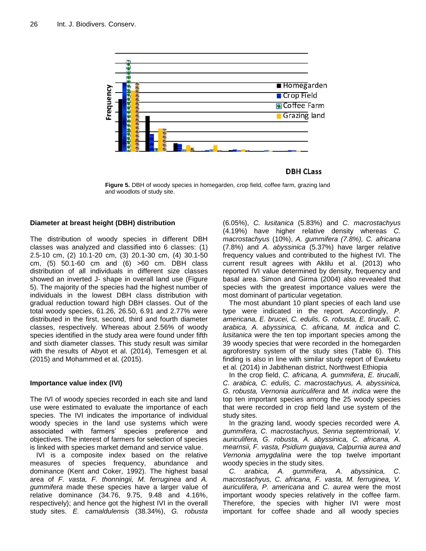

**Figure 5.** DBH of woody species in homegarden, crop field, coffee farm, grazing land and woodlots of study site.

## **Diameter at breast height (DBH) distribution**

The distribution of woody species in different DBH classes was analyzed and classified into 6 classes: (1) 2.5-10 cm, (2) 10.1-20 cm, (3) 20.1-30 cm, (4) 30.1-50 cm, (5) 50.1-60 cm and (6) >60 cm. DBH class distribution of all individuals in different size classes showed an inverted J- shape in overall land use (Figure 5). The majority of the species had the highest number of individuals in the lowest DBH class distribution with gradual reduction toward high DBH classes. Out of the total woody species, 61.26, 26.50, 6.91 and 2.77% were distributed in the first, second, third and fourth diameter classes, respectively. Whereas about 2.56% of woody species identified in the study area were found under fifth and sixth diameter classes. This study result was similar with the results of Abyot et al. (2014), Temesgen et al*.* (2015) and Mohammed et al*.* (2015).

## **Importance value index (IVI)**

The IVI of woody species recorded in each site and land use were estimated to evaluate the importance of each species. The IVI indicates the importance of individual woody species in the land use systems which were associated with farmers' species preference and objectives. The interest of farmers for selection of species is linked with species market demand and service value.

IVI is a composite index based on the relative measures of species frequency, abundance and dominance (Kent and Coker, 1992). The highest basal area of *F. vasta, F. thonningii, M. ferruginea* and *A. gummifera* made these species have a larger value of relative dominance (34.76, 9.75, 9.48 and 4.16%, respectively); and hence got the highest IVI in the overall study sites. *E. camaldulensis* (38.34%), *G. robusta*  (6.05%), *C. lusitanica* (5.83%) and *C. macrostachyus*  (4.19%) have higher relative density whereas *C. macrostachyus* (10%), *A. gummifera (7.8%), C. africana*  (7.8%) and *A. abyssinica* (5.37%) have larger relative frequency values and contributed to the highest IVI. The current result agrees with Aklilu et al. (2013) who reported IVI value determined by density, frequency and basal area. Simon and Girma (2004) also revealed that species with the greatest importance values were the most dominant of particular vegetation.

The most abundant 10 plant species of each land use type were indicated in the report*.* Accordingly, *P. americana, E. brucei, C. edulis, G. robusta, E. tirucalli, C. arabica, A. abyssinica, C. africana, M. indica* and *C. lusitanica* were the ten top important species among the 39 woody species that were recorded in the homegarden agroforestry system of the study sites (Table 6). This finding is also in line with similar study report of Ewuketu et al*.* (2014) in Jabithenan district, Northwest Ethiopia

In the crop field, *C. africana, A. gummifera*, *E. tirucalli, C. arabica, C. edulis, C. macrostachyus, A. abyssinica, G. robusta, Vernonia auriculifera* and *M. indica* were the top ten important species among the 25 woody species that were recorded in crop field land use system of the study sites.

In the grazing land, woody species recorded were *A. gummifera, C. macrostachyus, Senna septemtrionali, V. auriculifera, G. robusta, A. abyssinica, C. africana, A. mearnsii, F. vasta, Psidium guajava, Calpurnia aurea and Vernonia amygdalina* were the top twelve important woody species in the study sites.

*C. arabica, A. gummifera, A. abyssinica, C. macrostachyus, C. africana, F. vasta, M. ferruginea, V. auriculifera, P. americana* and *C. aurea* were the most important woody species relatively in the coffee farm. Therefore, the species with higher IVI were most important for coffee shade and all woody species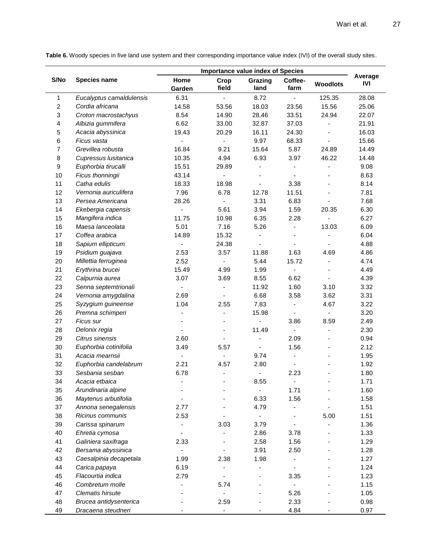**Table 6.** Woody species in five land use system and their corresponding importance value index (IVI) of the overall study sites.

|                |                          | <b>Importance value index of Species</b> |                              |                          |                          |                 |                       |
|----------------|--------------------------|------------------------------------------|------------------------------|--------------------------|--------------------------|-----------------|-----------------------|
| S/No           | <b>Species name</b>      | Home<br>Garden                           | Crop<br>field                | Grazing<br>land          | Coffee-<br>farm          | <b>Woodlots</b> | Average<br><b>IVI</b> |
| 1              | Eucalyptus camaldulensis | 6.31                                     | ÷,                           | 8.72                     | $\blacksquare$           | 125.35          | 28.08                 |
| $\overline{c}$ | Cordia africana          | 14.58                                    | 53.56                        | 18.03                    | 23.56                    | 15.56           | 25.06                 |
| 3              | Croton macrostachyus     | 8.54                                     | 14.90                        | 28.46                    | 33.51                    | 24.94           | 22.07                 |
| 4              | Albizia gummifera        | 6.62                                     | 33.00                        | 32.87                    | 37.03                    |                 | 21.91                 |
| 5              | Acacia abyssinica        | 19.43                                    | 20.29                        | 16.11                    | 24.30                    |                 | 16.03                 |
| 6              | Ficus vasta              |                                          |                              | 9.97                     | 68.33                    |                 | 15.66                 |
| 7              | Grevillea robusta        | 16.84                                    | 9.21                         | 15.64                    | 5.87                     | 24.89           | 14.49                 |
| 8              | Cupressus Iusitanica     | 10.35                                    | 4.94                         | 6.93                     | 3.97                     | 46.22           | 14.48                 |
| 9              | Euphorbia tirucalli      | 15.51                                    | 29.89                        | ÷,                       | $\overline{\phantom{0}}$ |                 | 9.08                  |
| 10             | Ficus thonningii         | 43.14                                    | $\qquad \qquad \blacksquare$ | $\overline{\phantom{a}}$ | $\overline{\phantom{a}}$ |                 | 8.63                  |
| 11             | Catha edulis             | 18.33                                    | 18.98                        | $\overline{\phantom{a}}$ | 3.38                     |                 | 8.14                  |
| 12             | Vernonia auriculifera    | 7.96                                     | 6.78                         | 12.78                    | 11.51                    |                 | 7.81                  |
| 13             | Persea Americana         | 28.26                                    | ÷,                           | 3.31                     | 6.83                     |                 | 7.68                  |
| 14             | Ekebergia capensis       | $\frac{1}{2}$                            | 5.61                         | 3.94                     | 1.59                     | 20.35           | 6.30                  |
| 15             | Mangifera indica         | 11.75                                    | 10.98                        | 6.35                     | 2.28                     | ÷,              | 6.27                  |
| 16             | Maesa lanceolata         | 5.01                                     | 7.16                         | 5.26                     | $\overline{\phantom{a}}$ | 13.03           | 6.09                  |
| 17             | Coffea arabica           | 14.89                                    | 15.32                        |                          | $\overline{\phantom{a}}$ |                 | 6.04                  |
| 18             | Sapium ellipticum        | $\blacksquare$                           | 24.38                        |                          | $\blacksquare$           |                 | 4.88                  |
| 19             | Psidium guajava          | 2.53                                     | 3.57                         | 11.88                    | 1.63                     | 4.69            | 4.86                  |
| 20             | Millettia ferruginea     | 2.52                                     |                              | 5.44                     | 15.72                    |                 | 4.74                  |
| 21             | Erythrina brucei         | 15.49                                    | 4.99                         | 1.99                     | $\blacksquare$           |                 | 4.49                  |
| 22             | Calpurnia aurea          | 3.07                                     | 3.69                         | 8.55                     | 6.62                     |                 | 4.39                  |
| 23             | Senna septemtrionali     |                                          |                              | 11.92                    | 1.60                     | 3.10            | 3.32                  |
| 24             | Vernonia amygdalina      | 2.69                                     |                              | 6.68                     | 3.58                     | 3.62            | 3.31                  |
| 25             | Syzygium guineense       | 1.04                                     | 2.55                         | 7.83                     | $\overline{\phantom{a}}$ | 4.67            | 3.22                  |
| 26             | Premna schimperi         |                                          | $\blacksquare$               | 15.98                    | $\overline{\phantom{a}}$ |                 | 3.20                  |
| 27             | Ficus sur                |                                          | $\blacksquare$               |                          | 3.86                     | 8.59            | 2.49                  |
| 28             | Delonix regia            | $\overline{\phantom{a}}$                 | $\overline{\phantom{a}}$     | 11.49                    | $\blacksquare$           | ä,              | 2.30                  |
| 29             | Citrus sinensis          | 2.60                                     | $\overline{\phantom{a}}$     | $\blacksquare$           | 2.09                     |                 | 0.94                  |
| 30             | Euphorbia cotinifolia    | 3.49                                     | 5.57                         | ÷,                       | 1.56                     |                 | 2.12                  |
| 31             | Acacia mearnsii          | $\overline{\phantom{a}}$                 | ÷,                           | 9.74                     | $\overline{\phantom{a}}$ |                 | 1.95                  |
| 32             | Euphorbia candelabrum    | 2.21                                     | 4.57                         | 2.80                     | $\overline{\phantom{a}}$ |                 | 1.92                  |
| 33             | Sesbania sesban          | 6.78                                     | $\overline{\phantom{a}}$     | $\overline{\phantom{a}}$ | 2.23                     |                 | 1.80                  |
| 34             | Acacia etbaica           |                                          |                              | 8.55                     | $\overline{\phantom{a}}$ |                 | 1.71                  |
| 35             | Arundinaria alpine       |                                          |                              | $\blacksquare$           | 1.71                     |                 | 1.60                  |
| 36             | Maytenus arbutifolia     |                                          |                              | 6.33                     | 1.56                     |                 | 1.58                  |
| 37             | Annona senegalensis      | 2.77                                     |                              | 4.79                     |                          |                 | 1.51                  |
| 38             | Ricinus communis         | 2.53                                     |                              |                          |                          | 5.00            | 1.51                  |
| 39             | Carissa spinarum         |                                          | 3.03                         | 3.79                     |                          |                 | 1.36                  |
| 40             | Ehretia cymosa           |                                          |                              | 2.86                     | 3.78                     |                 | 1.33                  |
| 41             | Galiniera saxifraga      | 2.33                                     |                              | 2.58                     | 1.56                     |                 | 1.29                  |
| 42             | Bersama abyssinica       |                                          |                              | 3.91                     | 2.50                     |                 | 1.28                  |
| 43             | Caesalpinia decapetala   | 1.99                                     | 2.38                         | 1.98                     |                          |                 | 1.27                  |
| 44             | Carica papaya            | 6.19                                     |                              |                          |                          |                 | 1.24                  |
| 45             | Flacourtia indica        | 2.79                                     | $\overline{\phantom{a}}$     |                          | 3.35                     |                 | 1.23                  |
| 46             | Combretum molle          |                                          | 5.74                         |                          | $\overline{\phantom{a}}$ |                 | 1.15                  |
| 47             | <b>Clematis hirsute</b>  |                                          |                              |                          | 5.26                     |                 | 1.05                  |
| 48             | Brucea antidysenterica   |                                          | 2.59                         |                          | 2.33                     |                 | 0.98                  |
| 49             | Dracaena steudneri       |                                          | $\overline{\phantom{a}}$     |                          | 4.84                     |                 | 0.97                  |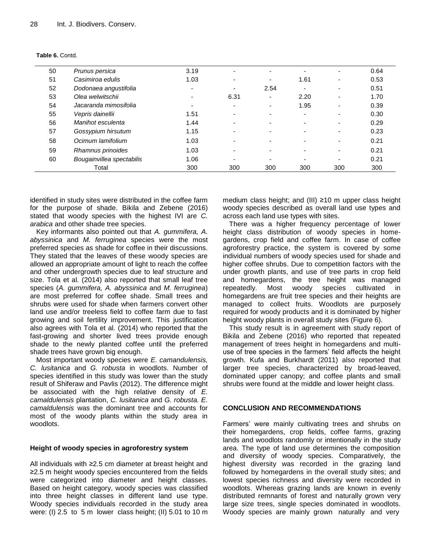| 50 | Prunus persica            | 3.19 |      |                          |                          |                          | 0.64 |
|----|---------------------------|------|------|--------------------------|--------------------------|--------------------------|------|
| 51 | Casimiroa edulis          | 1.03 |      | -                        | 1.61                     |                          | 0.53 |
| 52 | Dodonaea angustifolia     |      | -    | 2.54                     | $\overline{\phantom{0}}$ |                          | 0.51 |
| 53 | Olea welwitschii          |      | 6.31 | ۰                        | 2.20                     | $\overline{\phantom{0}}$ | 1.70 |
| 54 | Jacaranda mimosifolia     |      | -    | ۰                        | 1.95                     |                          | 0.39 |
| 55 | Vepris dainellii          | 1.51 | -    | ۰                        | $\overline{\phantom{a}}$ |                          | 0.30 |
| 56 | Manihot esculenta         | 1.44 | -    | $\blacksquare$           |                          |                          | 0.29 |
| 57 | Gossypium hirsutum        | 1.15 |      | $\overline{\phantom{0}}$ |                          |                          | 0.23 |
| 58 | Ocimum lamifolium         | 1.03 | -    | $\blacksquare$           |                          |                          | 0.21 |
| 59 | Rhamnus prinoides         | 1.03 |      |                          |                          |                          | 0.21 |
| 60 | Bougainvillea spectabilis | 1.06 |      | $\overline{\phantom{0}}$ |                          |                          | 0.21 |
|    | Total                     | 300  | 300  | 300                      | 300                      | 300                      | 300  |

|  | Table 6. Contd. |
|--|-----------------|
|  |                 |

identified in study sites were distributed in the coffee farm for the purpose of shade. Bikila and Zebene (2016) stated that woody species with the highest IVI are *C. arabica* and other shade tree species.

Key informants also pointed out that *A. gummifera, A. abyssinica* and *M. ferruginea* species were the most preferred species as shade for coffee in their discussions. They stated that the leaves of these woody species are allowed an appropriate amount of light to reach the coffee and other undergrowth species due to leaf structure and size. Tola et al*.* (2014) also reported that small leaf tree species (*A. gummifera, A. abyssinica* and *M. ferruginea*) are most preferred for coffee shade. Small trees and shrubs were used for shade when farmers convert other land use and/or treeless field to coffee farm due to fast growing and soil fertility improvement. This justification also agrees with Tola et al. (2014) who reported that the fast-growing and shorter lived trees provide enough shade to the newly planted coffee until the preferred shade trees have grown big enough.

Most important woody species were *E. camandulensis, C. lusitanica* and *G. robusta* in woodlots. Number of species identified in this study was lower than the study result of Shiferaw and Pavlis (2012). The difference might be associated with the high relative density of *E. camaldulensis* plantation, *C. lusitanica* and *G. robusta. E. camaldulensis* was the dominant tree and accounts for most of the woody plants within the study area in woodlots.

# **Height of woody species in agroforestry system**

All individuals with ≥2.5 cm diameter at breast height and ≥2.5 m height woody species encountered from the fields were categorized into diameter and height classes. Based on height category, woody species was classified into three height classes in different land use type. Woody species individuals recorded in the study area were: (I) 2.5 to 5 m lower class height; (II) 5.01 to 10 m medium class height; and (III) ≥10 m upper class height woody species described as overall land use types and across each land use types with sites.

There was a higher frequency percentage of lower height class distribution of woody species in homegardens, crop field and coffee farm. In case of coffee agroforestry practice, the system is covered by some individual numbers of woody species used for shade and higher coffee shrubs. Due to competition factors with the under growth plants, and use of tree parts in crop field and homegardens, the tree height was managed repeatedly. Most woody species cultivated in homegardens are fruit tree species and their heights are managed to collect fruits. Woodlots are purposely required for woody products and it is dominated by higher height woody plants in overall study sites (Figure 6).

This study result is in agreement with study report of Bikila and Zebene (2016) who reported that repeated management of trees height in homegardens and multiuse of tree species in the farmers' field affects the height growth. Kufa and Burkhardt (2011) also reported that larger tree species, characterized by broad-leaved, dominated upper canopy; and coffee plants and small shrubs were found at the middle and lower height class.

# **CONCLUSION AND RECOMMENDATIONS**

Farmers' were mainly cultivating trees and shrubs on their homegardens, crop fields, coffee farms, grazing lands and woodlots randomly or intentionally in the study area. The type of land use determines the composition and diversity of woody species. Comparatively, the highest diversity was recorded in the grazing land followed by homegardens in the overall study sites; and lowest species richness and diversity were recorded in woodlots. Whereas grazing lands are known in evenly distributed remnants of forest and naturally grown very large size trees, single species dominated in woodlots. Woody species are mainly grown naturally and very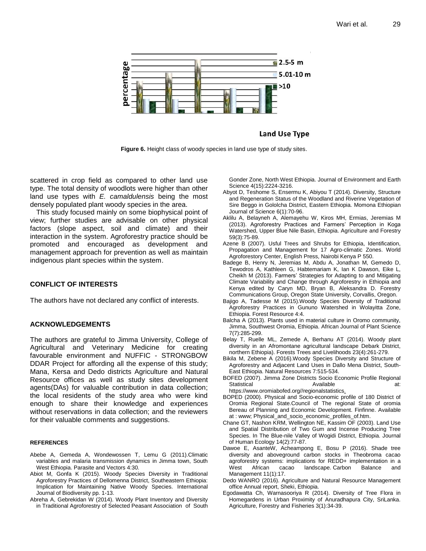

Land Use Type

**Figure 6.** Height class of woody species in land use type of study sites.

scattered in crop field as compared to other land use type. The total density of woodlots were higher than other land use types with *E. camaldulensis* being the most densely populated plant woody species in the area.

This study focused mainly on some biophysical point of view; further studies are advisable on other physical factors (slope aspect, soil and climate) and their interaction in the system. Agroforestry practice should be promoted and encouraged as development and management approach for prevention as well as maintain indigenous plant species within the system.

## **CONFLICT OF INTERESTS**

The authors have not declared any conflict of interests.

## **ACKNOWLEDGEMENTS**

The authors are grateful to Jimma University, College of Agricultural and Veterinary Medicine for creating favourable environment and NUFFIC - STRONGBOW DDAR Project for affording all the expense of this study; Mana, Kersa and Dedo districts Agriculture and Natural Resource offices as well as study sites development agents(DAs) for valuable contribution in data collection; the local residents of the study area who were kind enough to share their knowledge and experiences without reservations in data collection; and the reviewers for their valuable comments and suggestions.

#### **REFERENCES**

- Abebe A, Gemeda A, Wondewossen T, Lemu G (2011).Climatic variables and malaria transmission dynamics in Jimma town, South West Ethiopia. Parasite and Vectors 4:30.
- Abiot M, Gonfa K (2015). Woody Species Diversity in Traditional Agroforestry Practices of Dellomenna District, Southeastern Ethiopia: Implication for Maintaining Native Woody Species. International Journal of Biodiversity pp. 1-13.
- Abreha A, Gebrekidan W (2014). Woody Plant Inventory and Diversity in Traditional Agroforestry of Selected Peasant Association of South

Gonder Zone, North West Ethiopia. Journal of Environment and Earth Science 4(15):2224-3216.

- Abyot D, Teshome S, Ensermu K, Abiyou T (2014). Diversity, Structure and Regeneration Status of the Woodland and Riverine Vegetation of Sire Beggo in Gololcha District, Eastern Ethiopia. Momona Ethiopian Journal of Science 6(1):70-96.
- Aklilu A, Belayneh A, Alemayehu W, Kiros MH, Ermias, Jeremias M (2013). Agroforestry Practices and Farmers' Perception in Koga Watershed, Upper Blue Nile Basin, Ethiopia. Agriculture and Forestry 59(3):75-89.
- Azene B (2007). Usful Trees and Shrubs for Ethiopia, Identification, Propagation and Management for 17 Agro-climatic Zones. World Agroforestory Center, English Press, Nairobi Kenya P 550.
- Badege B, Henry N, Jeremias M, Abdu A, Jonathan M, Gemedo D, Tewodros A, Kathleen G, Habtemariam K, Ian K Dawson, Eike L, Cheikh M (2013). Farmers' Strategies for Adapting to and Mitigating Climate Variability and Change through Agroforestry in Ethiopia and Kenya edited by Caryn MD, Bryan B, Aleksandra D. Forestry Communications Group, Oregon State University, Corvallis, Oregon.
- Bajigo A, Tadesse M (2015).Woody Species Diversity of Traditional Agroforestry Practices in Gununo Watershed in Wolayitta Zone, Ethiopia. Forest Resource 4:4.
- Balcha A (2013). Plants used in material culture in Oromo community, Jimma, Southwest Oromia, Ethiopia. African Journal of Plant Science 7(7):285-299.
- Belay T, Ruelle ML, Zemede A, Berhanu AT (2014). Woody plant diversity in an Afromontane agricultural landscape Debark District, northern Ethiopia). Forests Trees and Livelihoods 23(4):261-279.
- Bikila M, Zebene A (2016).Woody Species Diversity and Structure of Agroforestry and Adjacent Land Uses in Dallo Mena District, South-East Ethiopia. Natural Resources 7:515-534.
- BOFED (2007). Jimma Zone Districts Socio Economic Profile Regional Statistical Available **Available** at: https://www.oromiabofed.org//regionalstatistics.
- BOPED (2000). Physical and Socio-economic profile of 180 District of Oromia Regional State.Council of The regional State of oromia Bereau of Planning and Economic Development. Finfinne. Available at : www; Physical\_and\_socio\_economic\_profiles\_of.htm.
- Chane GT, Nashon KRM, Wellington NE, Kassim OF (2003). Land Use and Spatial Distribution of Two Gum and Incense Producing Tree Species. In The Blue-nile Valley of Wogidi District, Ethiopia. Journal of Human Ecology 14(2):77-87.
- Dawoe E, AsanteW, Acheampong E, Bosu P (2016). Shade tree diversity and aboveground carbon stocks in Theobroma cacao agroforestry systems: implications for REDD+ implementation in a West African cacao landscape. Carbon Balance and Management 11(1):17.
- Dedo WANRO (2016). Agriculture and Natural Resource Management office Annual report, Sheki, Ethiopia.
- Egodawatta Ch, Warnasooriya R (2014). Diversity of Tree Flora in Homegardens in Urban Proximity of Anuradhapura City, SriLanka. Agriculture, Forestry and Fisheries 3(1):34-39.